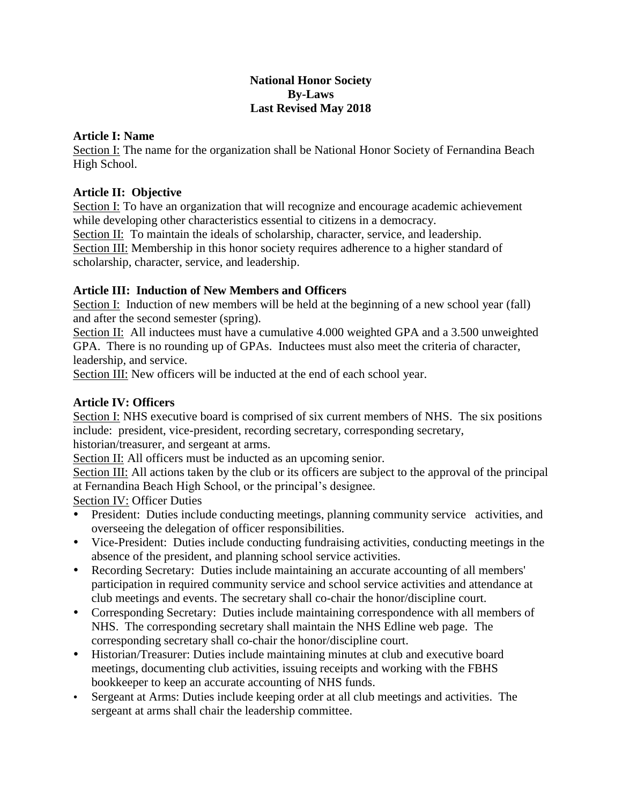### **National Honor Society By-Laws Last Revised May 2018**

### **Article I: Name**

Section I: The name for the organization shall be National Honor Society of Fernandina Beach High School.

### **Article II: Objective**

Section I: To have an organization that will recognize and encourage academic achievement while developing other characteristics essential to citizens in a democracy.

Section II: To maintain the ideals of scholarship, character, service, and leadership.

Section III: Membership in this honor society requires adherence to a higher standard of scholarship, character, service, and leadership.

## **Article III: Induction of New Members and Officers**

Section I: Induction of new members will be held at the beginning of a new school year (fall) and after the second semester (spring).

Section II: All inductees must have a cumulative 4.000 weighted GPA and a 3.500 unweighted GPA. There is no rounding up of GPAs. Inductees must also meet the criteria of character, leadership, and service.

Section III: New officers will be inducted at the end of each school year.

### **Article IV: Officers**

Section I: NHS executive board is comprised of six current members of NHS. The six positions include: president, vice-president, recording secretary, corresponding secretary,

historian/treasurer, and sergeant at arms.

Section II: All officers must be inducted as an upcoming senior.

Section III: All actions taken by the club or its officers are subject to the approval of the principal at Fernandina Beach High School, or the principal's designee.

Section IV: Officer Duties

- President: Duties include conducting meetings, planning community service activities, and overseeing the delegation of officer responsibilities.
- Vice-President: Duties include conducting fundraising activities, conducting meetings in the absence of the president, and planning school service activities.
- Recording Secretary: Duties include maintaining an accurate accounting of all members' participation in required community service and school service activities and attendance at club meetings and events. The secretary shall co-chair the honor/discipline court.
- Corresponding Secretary: Duties include maintaining correspondence with all members of NHS. The corresponding secretary shall maintain the NHS Edline web page. The corresponding secretary shall co-chair the honor/discipline court.
- Historian/Treasurer: Duties include maintaining minutes at club and executive board meetings, documenting club activities, issuing receipts and working with the FBHS bookkeeper to keep an accurate accounting of NHS funds.
- Sergeant at Arms: Duties include keeping order at all club meetings and activities. The sergeant at arms shall chair the leadership committee.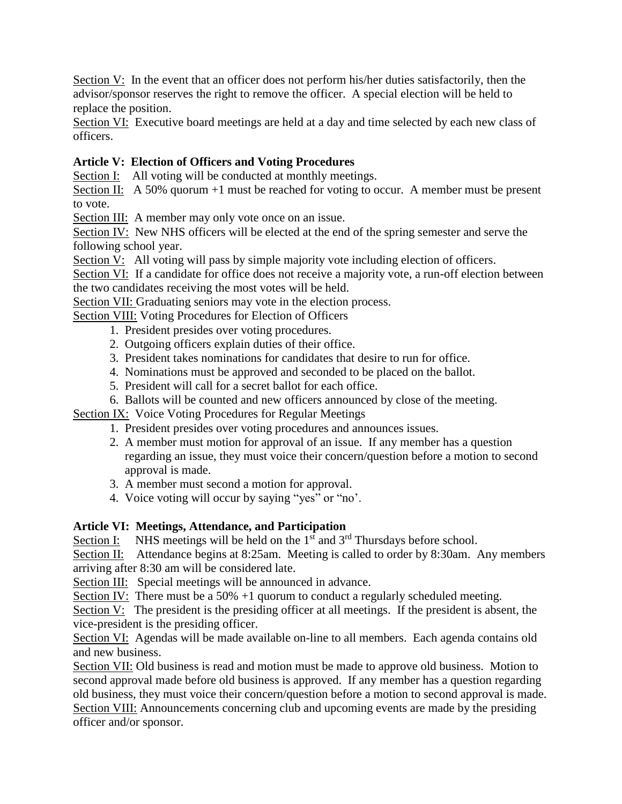Section V: In the event that an officer does not perform his/her duties satisfactorily, then the advisor/sponsor reserves the right to remove the officer. A special election will be held to replace the position.

Section VI: Executive board meetings are held at a day and time selected by each new class of officers.

## **Article V: Election of Officers and Voting Procedures**

Section I: All voting will be conducted at monthly meetings.

Section II: A 50% quorum +1 must be reached for voting to occur. A member must be present to vote.

Section III: A member may only vote once on an issue.

Section IV: New NHS officers will be elected at the end of the spring semester and serve the following school year.

Section V: All voting will pass by simple majority vote including election of officers.

Section VI: If a candidate for office does not receive a majority vote, a run-off election between the two candidates receiving the most votes will be held.

Section VII: Graduating seniors may vote in the election process.

Section VIII: Voting Procedures for Election of Officers

- 1. President presides over voting procedures.
- 2. Outgoing officers explain duties of their office.
- 3. President takes nominations for candidates that desire to run for office.
- 4. Nominations must be approved and seconded to be placed on the ballot.
- 5. President will call for a secret ballot for each office.

6. Ballots will be counted and new officers announced by close of the meeting.

Section IX: Voice Voting Procedures for Regular Meetings

- 1. President presides over voting procedures and announces issues.
- 2. A member must motion for approval of an issue. If any member has a question regarding an issue, they must voice their concern/question before a motion to second approval is made.
- 3. A member must second a motion for approval.
- 4. Voice voting will occur by saying "yes" or "no'.

## **Article VI: Meetings, Attendance, and Participation**

Section I: NHS meetings will be held on the  $1<sup>st</sup>$  and  $3<sup>rd</sup>$  Thursdays before school.

Section II: Attendance begins at 8:25am. Meeting is called to order by 8:30am. Any members arriving after 8:30 am will be considered late.

Section III: Special meetings will be announced in advance.

Section IV: There must be a 50% +1 quorum to conduct a regularly scheduled meeting.

Section V: The president is the presiding officer at all meetings. If the president is absent, the vice-president is the presiding officer.

Section VI: Agendas will be made available on-line to all members. Each agenda contains old and new business.

Section VII: Old business is read and motion must be made to approve old business. Motion to second approval made before old business is approved. If any member has a question regarding old business, they must voice their concern/question before a motion to second approval is made. Section VIII: Announcements concerning club and upcoming events are made by the presiding officer and/or sponsor.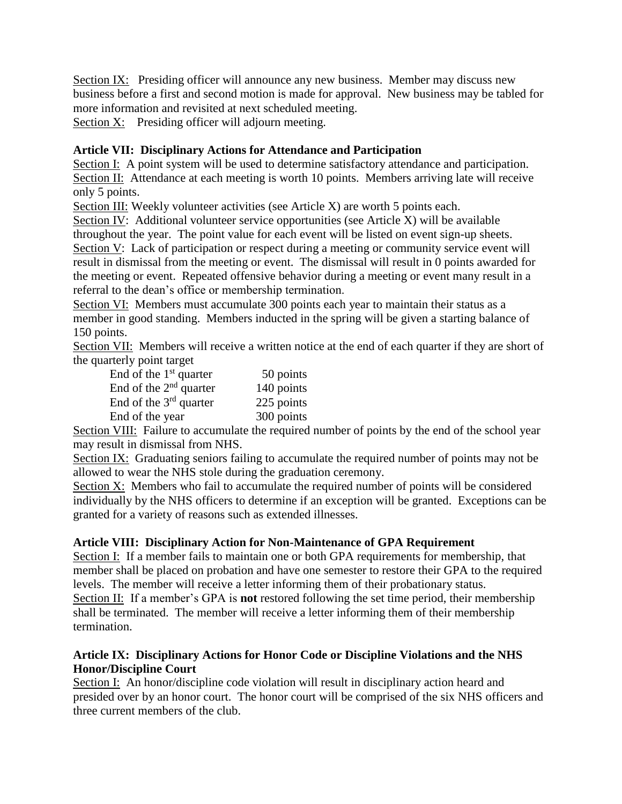Section IX: Presiding officer will announce any new business. Member may discuss new business before a first and second motion is made for approval. New business may be tabled for more information and revisited at next scheduled meeting.

Section X: Presiding officer will adjourn meeting.

## **Article VII: Disciplinary Actions for Attendance and Participation**

Section I: A point system will be used to determine satisfactory attendance and participation. Section II: Attendance at each meeting is worth 10 points. Members arriving late will receive only 5 points.

Section III: Weekly volunteer activities (see Article X) are worth 5 points each.

Section IV: Additional volunteer service opportunities (see Article X) will be available throughout the year. The point value for each event will be listed on event sign-up sheets. Section V: Lack of participation or respect during a meeting or community service event will result in dismissal from the meeting or event. The dismissal will result in 0 points awarded for the meeting or event. Repeated offensive behavior during a meeting or event many result in a referral to the dean's office or membership termination.

Section VI: Members must accumulate 300 points each year to maintain their status as a member in good standing. Members inducted in the spring will be given a starting balance of 150 points.

Section VII: Members will receive a written notice at the end of each quarter if they are short of the quarterly point target

| End of the $1st$ quarter | 50 points  |
|--------------------------|------------|
| End of the $2nd$ quarter | 140 points |
| End of the $3rd$ quarter | 225 points |
| End of the year          | 300 points |

Section VIII: Failure to accumulate the required number of points by the end of the school year may result in dismissal from NHS.

Section IX: Graduating seniors failing to accumulate the required number of points may not be allowed to wear the NHS stole during the graduation ceremony.

Section X: Members who fail to accumulate the required number of points will be considered individually by the NHS officers to determine if an exception will be granted. Exceptions can be granted for a variety of reasons such as extended illnesses.

## **Article VIII: Disciplinary Action for Non-Maintenance of GPA Requirement**

Section I: If a member fails to maintain one or both GPA requirements for membership, that member shall be placed on probation and have one semester to restore their GPA to the required levels. The member will receive a letter informing them of their probationary status. Section II: If a member's GPA is **not** restored following the set time period, their membership shall be terminated. The member will receive a letter informing them of their membership termination.

## **Article IX: Disciplinary Actions for Honor Code or Discipline Violations and the NHS Honor/Discipline Court**

Section I: An honor/discipline code violation will result in disciplinary action heard and presided over by an honor court. The honor court will be comprised of the six NHS officers and three current members of the club.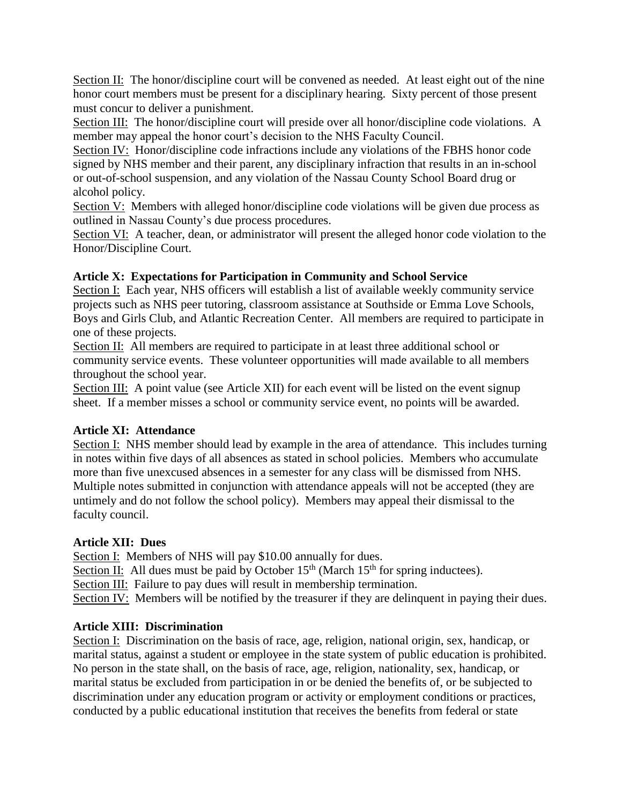Section II: The honor/discipline court will be convened as needed. At least eight out of the nine honor court members must be present for a disciplinary hearing. Sixty percent of those present must concur to deliver a punishment.

Section III: The honor/discipline court will preside over all honor/discipline code violations. A member may appeal the honor court's decision to the NHS Faculty Council.

Section IV: Honor/discipline code infractions include any violations of the FBHS honor code signed by NHS member and their parent, any disciplinary infraction that results in an in-school or out-of-school suspension, and any violation of the Nassau County School Board drug or alcohol policy.

Section V: Members with alleged honor/discipline code violations will be given due process as outlined in Nassau County's due process procedures.

Section VI: A teacher, dean, or administrator will present the alleged honor code violation to the Honor/Discipline Court.

## **Article X: Expectations for Participation in Community and School Service**

Section I: Each year, NHS officers will establish a list of available weekly community service projects such as NHS peer tutoring, classroom assistance at Southside or Emma Love Schools, Boys and Girls Club, and Atlantic Recreation Center. All members are required to participate in one of these projects.

Section II: All members are required to participate in at least three additional school or community service events. These volunteer opportunities will made available to all members throughout the school year.

Section III: A point value (see Article XII) for each event will be listed on the event signup sheet. If a member misses a school or community service event, no points will be awarded.

## **Article XI: Attendance**

Section I: NHS member should lead by example in the area of attendance. This includes turning in notes within five days of all absences as stated in school policies. Members who accumulate more than five unexcused absences in a semester for any class will be dismissed from NHS. Multiple notes submitted in conjunction with attendance appeals will not be accepted (they are untimely and do not follow the school policy). Members may appeal their dismissal to the faculty council.

## **Article XII: Dues**

Section I: Members of NHS will pay \$10.00 annually for dues.

Section II: All dues must be paid by October  $15<sup>th</sup>$  (March  $15<sup>th</sup>$  for spring inductees).

Section III: Failure to pay dues will result in membership termination.

Section IV: Members will be notified by the treasurer if they are delinquent in paying their dues.

# **Article XIII: Discrimination**

Section I: Discrimination on the basis of race, age, religion, national origin, sex, handicap, or marital status, against a student or employee in the state system of public education is prohibited. No person in the state shall, on the basis of race, age, religion, nationality, sex, handicap, or marital status be excluded from participation in or be denied the benefits of, or be subjected to discrimination under any education program or activity or employment conditions or practices, conducted by a public educational institution that receives the benefits from federal or state